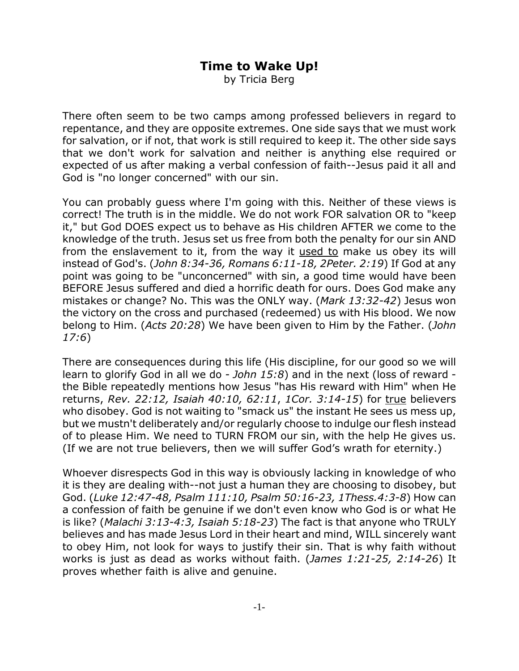## **Time to Wake Up!**

by Tricia Berg

There often seem to be two camps among professed believers in regard to repentance, and they are opposite extremes. One side says that we must work for salvation, or if not, that work is still required to keep it. The other side says that we don't work for salvation and neither is anything else required or expected of us after making a verbal confession of faith--Jesus paid it all and God is "no longer concerned" with our sin.

You can probably guess where I'm going with this. Neither of these views is correct! The truth is in the middle. We do not work FOR salvation OR to "keep it," but God DOES expect us to behave as His children AFTER we come to the knowledge of the truth. Jesus set us free from both the penalty for our sin AND from the enslavement to it, from the way it used to make us obey its will instead of God's. (*John 8:34-36, Romans 6:11-18, 2Peter. 2:19*) If God at any point was going to be "unconcerned" with sin, a good time would have been BEFORE Jesus suffered and died a horrific death for ours. Does God make any mistakes or change? No. This was the ONLY way. (*Mark 13:32-42*) Jesus won the victory on the cross and purchased (redeemed) us with His blood. We now belong to Him. (*Acts 20:28*) We have been given to Him by the Father. (*John 17:6*)

There are consequences during this life (His discipline, for our good so we will learn to glorify God in all we do - *John 15:8*) and in the next (loss of reward the Bible repeatedly mentions how Jesus "has His reward with Him" when He returns, *Rev. 22:12, Isaiah 40:10, 62:11*, *1Cor. 3:14-15*) for true believers who disobey. God is not waiting to "smack us" the instant He sees us mess up, but we mustn't deliberately and/or regularly choose to indulge our flesh instead of to please Him. We need to TURN FROM our sin, with the help He gives us. (If we are not true believers, then we will suffer God's wrath for eternity.)

Whoever disrespects God in this way is obviously lacking in knowledge of who it is they are dealing with--not just a human they are choosing to disobey, but God. (*Luke 12:47-48, Psalm 111:10, Psalm 50:16-23, 1Thess.4:3-8*) How can a confession of faith be genuine if we don't even know who God is or what He is like? (*Malachi 3:13-4:3, Isaiah 5:18-23*) The fact is that anyone who TRULY believes and has made Jesus Lord in their heart and mind, WILL sincerely want to obey Him, not look for ways to justify their sin. That is why faith without works is just as dead as works without faith. (*James 1:21-25, 2:14-26*) It proves whether faith is alive and genuine.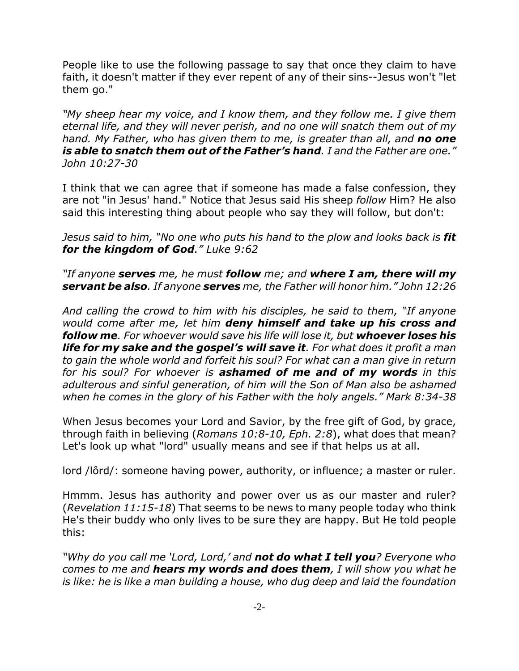People like to use the following passage to say that once they claim to have faith, it doesn't matter if they ever repent of any of their sins--Jesus won't "let them go."

*"My sheep hear my voice, and I know them, and they follow me. I give them eternal life, and they will never perish, and no one will snatch them out of my hand. My Father, who has given them to me, is greater than all, and no one is able to snatch them out of the Father's hand. I and the Father are one." John 10:27-30*

I think that we can agree that if someone has made a false confession, they are not "in Jesus' hand." Notice that Jesus said His sheep *follow* Him? He also said this interesting thing about people who say they will follow, but don't:

*Jesus said to him, "No one who puts his hand to the plow and looks back is fit for the kingdom of God." Luke 9:62*

*"If anyone serves me, he must follow me; and where I am, there will my servant be also. If anyone serves me, the Father will honor him." John 12:26*

*And calling the crowd to him with his disciples, he said to them, "If anyone would come after me, let him deny himself and take up his cross and follow me. For whoever would save his life will lose it, but whoever loses his life for my sake and the gospel's will save it. For what does it profit a man to gain the whole world and forfeit his soul? For what can a man give in return for his soul? For whoever is ashamed of me and of my words in this adulterous and sinful generation, of him will the Son of Man also be ashamed when he comes in the glory of his Father with the holy angels." Mark 8:34-38*

When Jesus becomes your Lord and Savior, by the free gift of God, by grace, through faith in believing (*Romans 10:8-10, Eph. 2:8*), what does that mean? Let's look up what "lord" usually means and see if that helps us at all.

lord /lôrd/: someone having power, authority, or influence; a master or ruler.

Hmmm. Jesus has authority and power over us as our master and ruler? (*Revelation 11:15-18*) That seems to be news to many people today who think He's their buddy who only lives to be sure they are happy. But He told people this:

*"Why do you call me 'Lord, Lord,' and not do what I tell you? Everyone who comes to me and hears my words and does them, I will show you what he is like: he is like a man building a house, who dug deep and laid the foundation*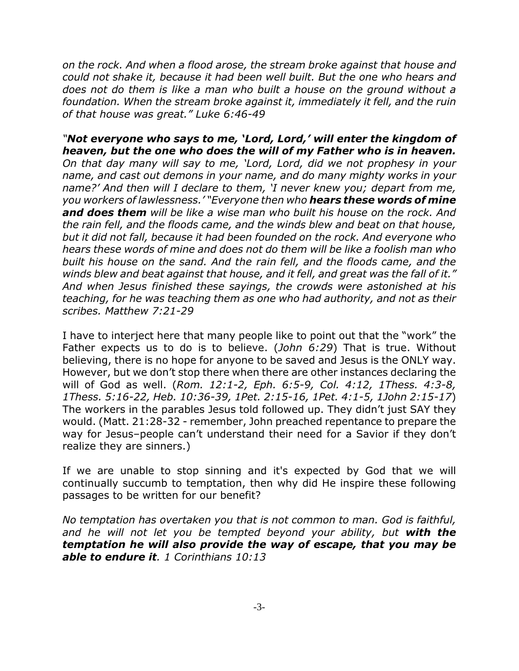*on the rock. And when a flood arose, the stream broke against that house and could not shake it, because it had been well built. But the one who hears and does not do them is like a man who built a house on the ground without a foundation. When the stream broke against it, immediately it fell, and the ruin of that house was great." Luke 6:46-49*

*"Not everyone who says to me, 'Lord, Lord,' will enter the kingdom of heaven, but the one who does the will of my Father who is in heaven. On that day many will say to me, 'Lord, Lord, did we not prophesy in your name, and cast out demons in your name, and do many mighty works in your name?' And then will I declare to them, 'I never knew you; depart from me, you workers of lawlessness.' "Everyone then who hears these words of mine and does them will be like a wise man who built his house on the rock. And the rain fell, and the floods came, and the winds blew and beat on that house, but it did not fall, because it had been founded on the rock. And everyone who hears these words of mine and does not do them will be like a foolish man who built his house on the sand. And the rain fell, and the floods came, and the winds blew and beat against that house, and it fell, and great was the fall of it." And when Jesus finished these sayings, the crowds were astonished at his teaching, for he was teaching them as one who had authority, and not as their scribes. Matthew 7:21-29*

I have to interject here that many people like to point out that the "work" the Father expects us to do is to believe. (*John 6:29*) That is true. Without believing, there is no hope for anyone to be saved and Jesus is the ONLY way. However, but we don't stop there when there are other instances declaring the will of God as well. (*Rom. 12:1-2, Eph. 6:5-9, Col. 4:12, 1Thess. 4:3-8, 1Thess. 5:16-22, Heb. 10:36-39, 1Pet. 2:15-16, 1Pet. 4:1-5, 1John 2:15-17*) The workers in the parables Jesus told followed up. They didn't just SAY they would. (Matt. 21:28-32 - remember, John preached repentance to prepare the way for Jesus–people can't understand their need for a Savior if they don't realize they are sinners.)

If we are unable to stop sinning and it's expected by God that we will continually succumb to temptation, then why did He inspire these following passages to be written for our benefit?

*No temptation has overtaken you that is not common to man. God is faithful, and he will not let you be tempted beyond your ability, but with the temptation he will also provide the way of escape, that you may be able to endure it. 1 Corinthians 10:13*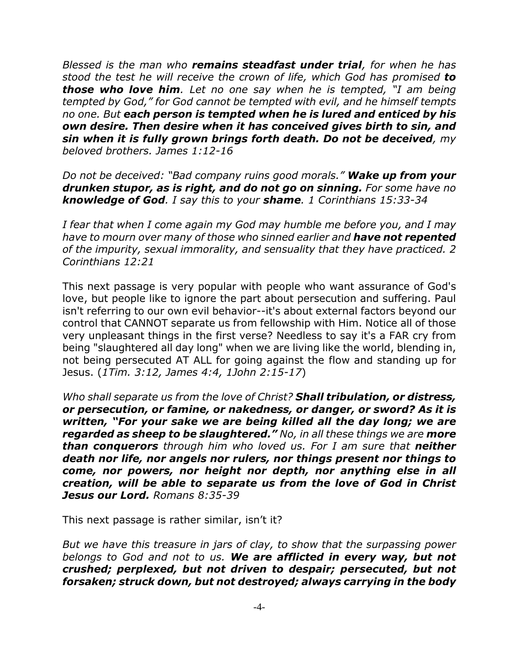*Blessed is the man who remains steadfast under trial, for when he has stood the test he will receive the crown of life, which God has promised to those who love him. Let no one say when he is tempted, "I am being tempted by God," for God cannot be tempted with evil, and he himself tempts no one. But each person is tempted when he is lured and enticed by his own desire. Then desire when it has conceived gives birth to sin, and sin when it is fully grown brings forth death. Do not be deceived, my beloved brothers. James 1:12-16*

*Do not be deceived: "Bad company ruins good morals." Wake up from your drunken stupor, as is right, and do not go on sinning. For some have no knowledge of God. I say this to your shame. 1 Corinthians 15:33-34*

*I fear that when I come again my God may humble me before you, and I may have to mourn over many of those who sinned earlier and have not repented of the impurity, sexual immorality, and sensuality that they have practiced. 2 Corinthians 12:21*

This next passage is very popular with people who want assurance of God's love, but people like to ignore the part about persecution and suffering. Paul isn't referring to our own evil behavior--it's about external factors beyond our control that CANNOT separate us from fellowship with Him. Notice all of those very unpleasant things in the first verse? Needless to say it's a FAR cry from being "slaughtered all day long" when we are living like the world, blending in, not being persecuted AT ALL for going against the flow and standing up for Jesus. (*1Tim. 3:12, James 4:4, 1John 2:15-17*)

*Who shall separate us from the love of Christ? Shall tribulation, or distress, or persecution, or famine, or nakedness, or danger, or sword? As it is written, "For your sake we are being killed all the day long; we are regarded as sheep to be slaughtered." No, in all these things we are more than conquerors through him who loved us. For I am sure that neither death nor life, nor angels nor rulers, nor things present nor things to come, nor powers, nor height nor depth, nor anything else in all creation, will be able to separate us from the love of God in Christ Jesus our Lord. Romans 8:35-39*

This next passage is rather similar, isn't it?

*But we have this treasure in jars of clay, to show that the surpassing power belongs to God and not to us. We are afflicted in every way, but not crushed; perplexed, but not driven to despair; persecuted, but not forsaken; struck down, but not destroyed; always carrying in the body*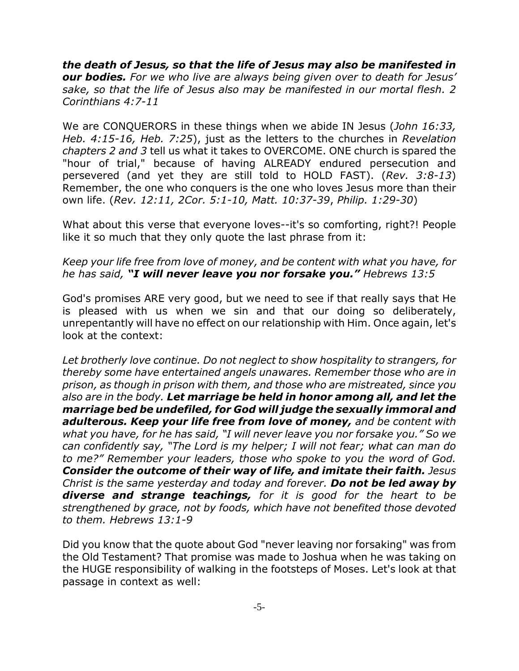*the death of Jesus, so that the life of Jesus may also be manifested in our bodies. For we who live are always being given over to death for Jesus' sake, so that the life of Jesus also may be manifested in our mortal flesh. 2 Corinthians 4:7-11*

We are CONQUERORS in these things when we abide IN Jesus (*John 16:33, Heb. 4:15-16, Heb. 7:25*), just as the letters to the churches in *Revelation chapters 2 and 3* tell us what it takes to OVERCOME. ONE church is spared the "hour of trial," because of having ALREADY endured persecution and persevered (and yet they are still told to HOLD FAST). (*Rev. 3:8-13*) Remember, the one who conquers is the one who loves Jesus more than their own life. (*Rev. 12:11, 2Cor. 5:1-10, Matt. 10:37-39*, *Philip. 1:29-30*)

What about this verse that everyone loves--it's so comforting, right?! People like it so much that they only quote the last phrase from it:

*Keep your life free from love of money, and be content with what you have, for he has said, "I will never leave you nor forsake you." Hebrews 13:5*

God's promises ARE very good, but we need to see if that really says that He is pleased with us when we sin and that our doing so deliberately, unrepentantly will have no effect on our relationship with Him. Once again, let's look at the context:

*Let brotherly love continue. Do not neglect to show hospitality to strangers, for thereby some have entertained angels unawares. Remember those who are in prison, as though in prison with them, and those who are mistreated, since you also are in the body. Let marriage be held in honor among all, and let the marriage bed be undefiled, for God will judge the sexually immoral and adulterous. Keep your life free from love of money, and be content with what you have, for he has said, "I will never leave you nor forsake you." So we can confidently say, "The Lord is my helper; I will not fear; what can man do to me?" Remember your leaders, those who spoke to you the word of God. Consider the outcome of their way of life, and imitate their faith. Jesus Christ is the same yesterday and today and forever. Do not be led away by diverse and strange teachings, for it is good for the heart to be strengthened by grace, not by foods, which have not benefited those devoted to them. Hebrews 13:1-9*

Did you know that the quote about God "never leaving nor forsaking" was from the Old Testament? That promise was made to Joshua when he was taking on the HUGE responsibility of walking in the footsteps of Moses. Let's look at that passage in context as well: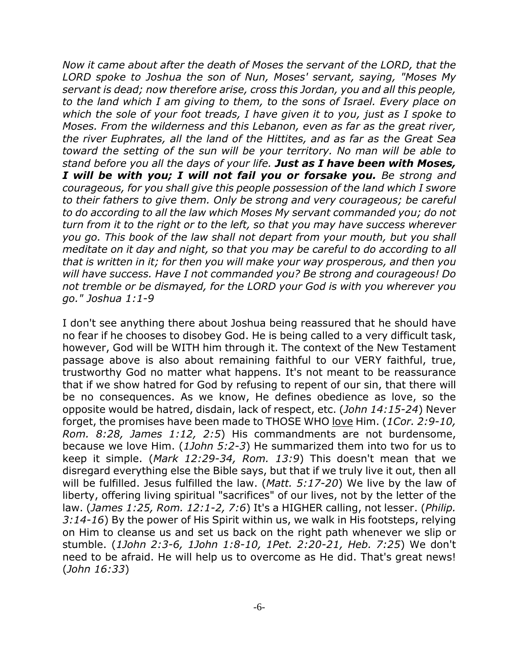*Now it came about after the death of Moses the servant of the LORD, that the LORD spoke to Joshua the son of Nun, Moses' servant, saying, "Moses My servant is dead; now therefore arise, cross this Jordan, you and all this people, to the land which I am giving to them, to the sons of Israel. Every place on which the sole of your foot treads, I have given it to you, just as I spoke to Moses. From the wilderness and this Lebanon, even as far as the great river, the river Euphrates, all the land of the Hittites, and as far as the Great Sea toward the setting of the sun will be your territory. No man will be able to stand before you all the days of your life. Just as I have been with Moses, I will be with you; I will not fail you or forsake you. Be strong and courageous, for you shall give this people possession of the land which I swore to their fathers to give them. Only be strong and very courageous; be careful to do according to all the law which Moses My servant commanded you; do not turn from it to the right or to the left, so that you may have success wherever you go. This book of the law shall not depart from your mouth, but you shall meditate on it day and night, so that you may be careful to do according to all that is written in it; for then you will make your way prosperous, and then you will have success. Have I not commanded you? Be strong and courageous! Do not tremble or be dismayed, for the LORD your God is with you wherever you go." Joshua 1:1-9*

I don't see anything there about Joshua being reassured that he should have no fear if he chooses to disobey God. He is being called to a very difficult task, however, God will be WITH him through it. The context of the New Testament passage above is also about remaining faithful to our VERY faithful, true, trustworthy God no matter what happens. It's not meant to be reassurance that if we show hatred for God by refusing to repent of our sin, that there will be no consequences. As we know, He defines obedience as love, so the opposite would be hatred, disdain, lack of respect, etc. (*John 14:15-24*) Never forget, the promises have been made to THOSE WHO love Him. (*1Cor. 2:9-10, Rom. 8:28, James 1:12, 2:5*) His commandments are not burdensome, because we love Him. (*1John 5:2-3*) He summarized them into two for us to keep it simple. (*Mark 12:29-34, Rom. 13:9*) This doesn't mean that we disregard everything else the Bible says, but that if we truly live it out, then all will be fulfilled. Jesus fulfilled the law. (*Matt. 5:17-20*) We live by the law of liberty, offering living spiritual "sacrifices" of our lives, not by the letter of the law. (*James 1:25, Rom. 12:1-2, 7:6*) It's a HIGHER calling, not lesser. (*Philip. 3:14-16*) By the power of His Spirit within us, we walk in His footsteps, relying on Him to cleanse us and set us back on the right path whenever we slip or stumble. (*1John 2:3-6, 1John 1:8-10, 1Pet. 2:20-21, Heb. 7:25*) We don't need to be afraid. He will help us to overcome as He did. That's great news! (*John 16:33*)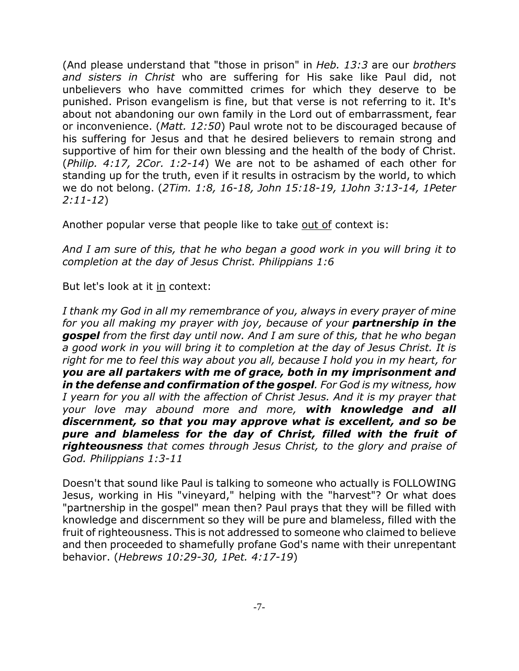(And please understand that "those in prison" in *Heb. 13:3* are our *brothers and sisters in Christ* who are suffering for His sake like Paul did, not unbelievers who have committed crimes for which they deserve to be punished. Prison evangelism is fine, but that verse is not referring to it. It's about not abandoning our own family in the Lord out of embarrassment, fear or inconvenience. (*Matt. 12:50*) Paul wrote not to be discouraged because of his suffering for Jesus and that he desired believers to remain strong and supportive of him for their own blessing and the health of the body of Christ. (*Philip. 4:17, 2Cor. 1:2-14*) We are not to be ashamed of each other for standing up for the truth, even if it results in ostracism by the world, to which we do not belong. (*2Tim. 1:8, 16-18, John 15:18-19, 1John 3:13-14, 1Peter 2:11-12*)

Another popular verse that people like to take out of context is:

*And I am sure of this, that he who began a good work in you will bring it to completion at the day of Jesus Christ. Philippians 1:6*

But let's look at it in context:

*I thank my God in all my remembrance of you, always in every prayer of mine for you all making my prayer with joy, because of your partnership in the gospel from the first day until now. And I am sure of this, that he who began a good work in you will bring it to completion at the day of Jesus Christ. It is right for me to feel this way about you all, because I hold you in my heart, for you are all partakers with me of grace, both in my imprisonment and in the defense and confirmation of the gospel. For God is my witness, how I yearn for you all with the affection of Christ Jesus. And it is my prayer that your love may abound more and more, with knowledge and all discernment, so that you may approve what is excellent, and so be pure and blameless for the day of Christ, filled with the fruit of righteousness that comes through Jesus Christ, to the glory and praise of God. Philippians 1:3-11*

Doesn't that sound like Paul is talking to someone who actually is FOLLOWING Jesus, working in His "vineyard," helping with the "harvest"? Or what does "partnership in the gospel" mean then? Paul prays that they will be filled with knowledge and discernment so they will be pure and blameless, filled with the fruit of righteousness. This is not addressed to someone who claimed to believe and then proceeded to shamefully profane God's name with their unrepentant behavior. (*Hebrews 10:29-30, 1Pet. 4:17-19*)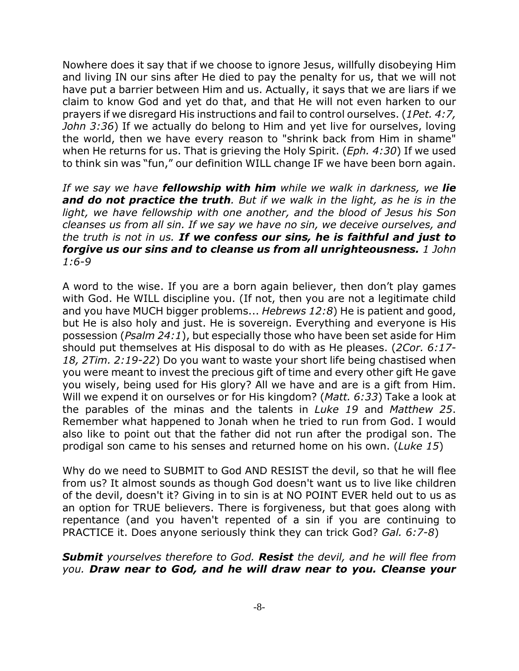Nowhere does it say that if we choose to ignore Jesus, willfully disobeying Him and living IN our sins after He died to pay the penalty for us, that we will not have put a barrier between Him and us. Actually, it says that we are liars if we claim to know God and yet do that, and that He will not even harken to our prayers if we disregard His instructions and fail to control ourselves. (*1Pet. 4:7, John 3:36*) If we actually do belong to Him and yet live for ourselves, loving the world, then we have every reason to "shrink back from Him in shame" when He returns for us. That is grieving the Holy Spirit. (*Eph. 4:30*) If we used to think sin was "fun," our definition WILL change IF we have been born again.

*If we say we have fellowship with him while we walk in darkness, we lie and do not practice the truth. But if we walk in the light, as he is in the light, we have fellowship with one another, and the blood of Jesus his Son cleanses us from all sin. If we say we have no sin, we deceive ourselves, and the truth is not in us. If we confess our sins, he is faithful and just to forgive us our sins and to cleanse us from all unrighteousness. 1 John 1:6-9*

A word to the wise. If you are a born again believer, then don't play games with God. He WILL discipline you. (If not, then you are not a legitimate child and you have MUCH bigger problems... *Hebrews 12:8*) He is patient and good, but He is also holy and just. He is sovereign. Everything and everyone is His possession (*Psalm 24:1*), but especially those who have been set aside for Him should put themselves at His disposal to do with as He pleases. (*2Cor. 6:17- 18, 2Tim. 2:19-22*) Do you want to waste your short life being chastised when you were meant to invest the precious gift of time and every other gift He gave you wisely, being used for His glory? All we have and are is a gift from Him. Will we expend it on ourselves or for His kingdom? (*Matt. 6:33*) Take a look at the parables of the minas and the talents in *Luke 19* and *Matthew 25*. Remember what happened to Jonah when he tried to run from God. I would also like to point out that the father did not run after the prodigal son. The prodigal son came to his senses and returned home on his own. (*Luke 15*)

Why do we need to SUBMIT to God AND RESIST the devil, so that he will flee from us? It almost sounds as though God doesn't want us to live like children of the devil, doesn't it? Giving in to sin is at NO POINT EVER held out to us as an option for TRUE believers. There is forgiveness, but that goes along with repentance (and you haven't repented of a sin if you are continuing to PRACTICE it. Does anyone seriously think they can trick God? *Gal. 6:7-8*)

*Submit yourselves therefore to God. Resist the devil, and he will flee from you. Draw near to God, and he will draw near to you. Cleanse your*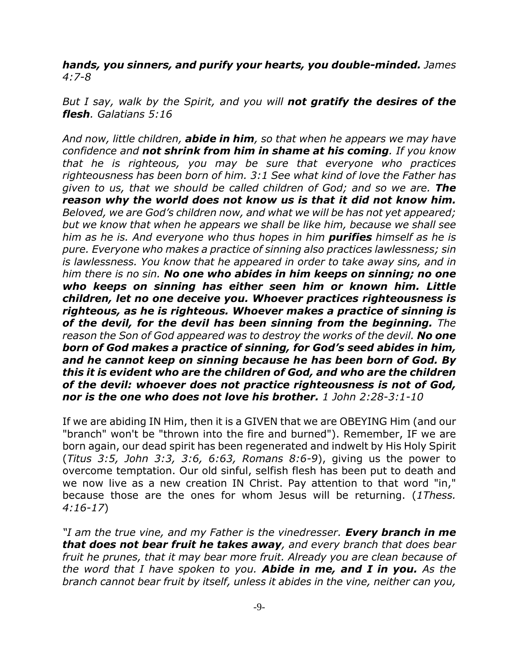*hands, you sinners, and purify your hearts, you double-minded. James 4:7-8*

*But I say, walk by the Spirit, and you will not gratify the desires of the flesh. Galatians 5:16*

*And now, little children, abide in him, so that when he appears we may have confidence and not shrink from him in shame at his coming. If you know that he is righteous, you may be sure that everyone who practices righteousness has been born of him. 3:1 See what kind of love the Father has given to us, that we should be called children of God; and so we are. The reason why the world does not know us is that it did not know him. Beloved, we are God's children now, and what we will be has not yet appeared; but we know that when he appears we shall be like him, because we shall see him as he is. And everyone who thus hopes in him purifies himself as he is pure. Everyone who makes a practice of sinning also practices lawlessness; sin is lawlessness. You know that he appeared in order to take away sins, and in him there is no sin. No one who abides in him keeps on sinning; no one who keeps on sinning has either seen him or known him. Little children, let no one deceive you. Whoever practices righteousness is righteous, as he is righteous. Whoever makes a practice of sinning is of the devil, for the devil has been sinning from the beginning. The reason the Son of God appeared was to destroy the works of the devil. No one born of God makes a practice of sinning, for God's seed abides in him, and he cannot keep on sinning because he has been born of God. By this it is evident who are the children of God, and who are the children of the devil: whoever does not practice righteousness is not of God, nor is the one who does not love his brother. 1 John 2:28-3:1-10*

If we are abiding IN Him, then it is a GIVEN that we are OBEYING Him (and our "branch" won't be "thrown into the fire and burned"). Remember, IF we are born again, our dead spirit has been regenerated and indwelt by His Holy Spirit (*Titus 3:5, John 3:3, 3:6, 6:63, Romans 8:6-9*), giving us the power to overcome temptation. Our old sinful, selfish flesh has been put to death and we now live as a new creation IN Christ. Pay attention to that word "in," because those are the ones for whom Jesus will be returning. (*1Thess. 4:16-17*)

*"I am the true vine, and my Father is the vinedresser. Every branch in me that does not bear fruit he takes away, and every branch that does bear fruit he prunes, that it may bear more fruit. Already you are clean because of the word that I have spoken to you. Abide in me, and I in you. As the branch cannot bear fruit by itself, unless it abides in the vine, neither can you,*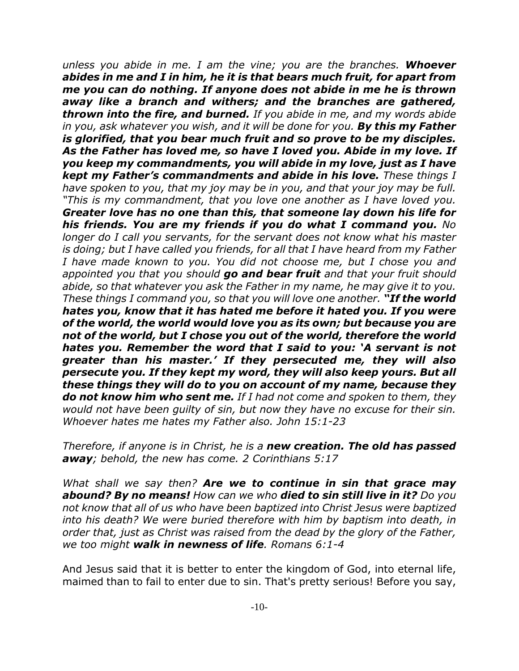*unless you abide in me. I am the vine; you are the branches. Whoever abides in me and I in him, he it is that bears much fruit, for apart from me you can do nothing. If anyone does not abide in me he is thrown away like a branch and withers; and the branches are gathered, thrown into the fire, and burned. If you abide in me, and my words abide in you, ask whatever you wish, and it will be done for you. By this my Father is glorified, that you bear much fruit and so prove to be my disciples. As the Father has loved me, so have I loved you. Abide in my love. If you keep my commandments, you will abide in my love, just as I have kept my Father's commandments and abide in his love. These things I have spoken to you, that my joy may be in you, and that your joy may be full. "This is my commandment, that you love one another as I have loved you. Greater love has no one than this, that someone lay down his life for his friends. You are my friends if you do what I command you. No longer do I call you servants, for the servant does not know what his master is doing; but I have called you friends, for all that I have heard from my Father I have made known to you. You did not choose me, but I chose you and appointed you that you should go and bear fruit and that your fruit should abide, so that whatever you ask the Father in my name, he may give it to you. These things I command you, so that you will love one another. "If the world hates you, know that it has hated me before it hated you. If you were of the world, the world would love you as its own; but because you are not of the world, but I chose you out of the world, therefore the world hates you. Remember the word that I said to you: 'A servant is not greater than his master.' If they persecuted me, they will also persecute you. If they kept my word, they will also keep yours. But all these things they will do to you on account of my name, because they do not know him who sent me. If I had not come and spoken to them, they would not have been guilty of sin, but now they have no excuse for their sin. Whoever hates me hates my Father also. John 15:1-23*

*Therefore, if anyone is in Christ, he is a new creation. The old has passed away; behold, the new has come. 2 Corinthians 5:17*

*What shall we say then? Are we to continue in sin that grace may abound? By no means! How can we who died to sin still live in it? Do you not know that all of us who have been baptized into Christ Jesus were baptized into his death? We were buried therefore with him by baptism into death, in order that, just as Christ was raised from the dead by the glory of the Father, we too might walk in newness of life. Romans 6:1-4*

And Jesus said that it is better to enter the kingdom of God, into eternal life, maimed than to fail to enter due to sin. That's pretty serious! Before you say,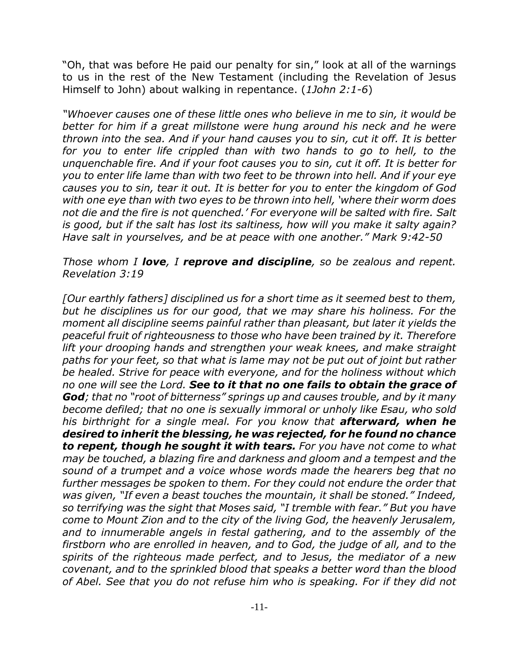"Oh, that was before He paid our penalty for sin," look at all of the warnings to us in the rest of the New Testament (including the Revelation of Jesus Himself to John) about walking in repentance. (*1John 2:1-6*)

*"Whoever causes one of these little ones who believe in me to sin, it would be better for him if a great millstone were hung around his neck and he were thrown into the sea. And if your hand causes you to sin, cut it off. It is better for you to enter life crippled than with two hands to go to hell, to the unquenchable fire. And if your foot causes you to sin, cut it off. It is better for you to enter life lame than with two feet to be thrown into hell. And if your eye causes you to sin, tear it out. It is better for you to enter the kingdom of God with one eye than with two eyes to be thrown into hell, 'where their worm does not die and the fire is not quenched.' For everyone will be salted with fire. Salt is good, but if the salt has lost its saltiness, how will you make it salty again? Have salt in yourselves, and be at peace with one another." Mark 9:42-50*

## *Those whom I love, I reprove and discipline, so be zealous and repent. Revelation 3:19*

*[Our earthly fathers] disciplined us for a short time as it seemed best to them, but he disciplines us for our good, that we may share his holiness. For the moment all discipline seems painful rather than pleasant, but later it yields the peaceful fruit of righteousness to those who have been trained by it. Therefore lift your drooping hands and strengthen your weak knees, and make straight paths for your feet, so that what is lame may not be put out of joint but rather be healed. Strive for peace with everyone, and for the holiness without which no one will see the Lord. See to it that no one fails to obtain the grace of God; that no "root of bitterness" springs up and causes trouble, and by it many become defiled; that no one is sexually immoral or unholy like Esau, who sold his birthright for a single meal. For you know that afterward, when he desired to inherit the blessing, he was rejected, for he found no chance to repent, though he sought it with tears. For you have not come to what may be touched, a blazing fire and darkness and gloom and a tempest and the sound of a trumpet and a voice whose words made the hearers beg that no further messages be spoken to them. For they could not endure the order that was given, "If even a beast touches the mountain, it shall be stoned." Indeed, so terrifying was the sight that Moses said, "I tremble with fear." But you have come to Mount Zion and to the city of the living God, the heavenly Jerusalem, and to innumerable angels in festal gathering, and to the assembly of the firstborn who are enrolled in heaven, and to God, the judge of all, and to the spirits of the righteous made perfect, and to Jesus, the mediator of a new covenant, and to the sprinkled blood that speaks a better word than the blood of Abel. See that you do not refuse him who is speaking. For if they did not*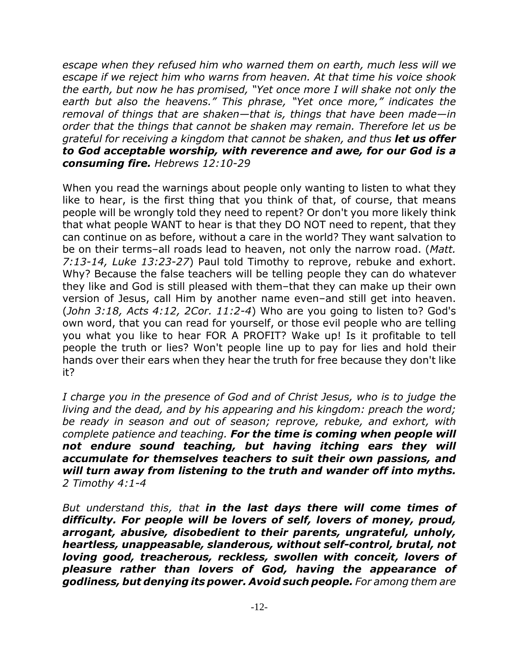*escape when they refused him who warned them on earth, much less will we escape if we reject him who warns from heaven. At that time his voice shook the earth, but now he has promised, "Yet once more I will shake not only the earth but also the heavens." This phrase, "Yet once more," indicates the removal of things that are shaken—that is, things that have been made—in order that the things that cannot be shaken may remain. Therefore let us be grateful for receiving a kingdom that cannot be shaken, and thus let us offer to God acceptable worship, with reverence and awe, for our God is a consuming fire. Hebrews 12:10-29*

When you read the warnings about people only wanting to listen to what they like to hear, is the first thing that you think of that, of course, that means people will be wrongly told they need to repent? Or don't you more likely think that what people WANT to hear is that they DO NOT need to repent, that they can continue on as before, without a care in the world? They want salvation to be on their terms–all roads lead to heaven, not only the narrow road. (*Matt. 7:13-14, Luke 13:23-27*) Paul told Timothy to reprove, rebuke and exhort. Why? Because the false teachers will be telling people they can do whatever they like and God is still pleased with them–that they can make up their own version of Jesus, call Him by another name even–and still get into heaven. (*John 3:18, Acts 4:12, 2Cor. 11:2-4*) Who are you going to listen to? God's own word, that you can read for yourself, or those evil people who are telling you what you like to hear FOR A PROFIT? Wake up! Is it profitable to tell people the truth or lies? Won't people line up to pay for lies and hold their hands over their ears when they hear the truth for free because they don't like it?

*I charge you in the presence of God and of Christ Jesus, who is to judge the living and the dead, and by his appearing and his kingdom: preach the word; be ready in season and out of season; reprove, rebuke, and exhort, with complete patience and teaching. For the time is coming when people will not endure sound teaching, but having itching ears they will accumulate for themselves teachers to suit their own passions, and will turn away from listening to the truth and wander off into myths. 2 Timothy 4:1-4*

*But understand this, that in the last days there will come times of difficulty. For people will be lovers of self, lovers of money, proud, arrogant, abusive, disobedient to their parents, ungrateful, unholy, heartless, unappeasable, slanderous, without self-control, brutal, not loving good, treacherous, reckless, swollen with conceit, lovers of pleasure rather than lovers of God, having the appearance of godliness, but denying its power. Avoid such people. For among them are*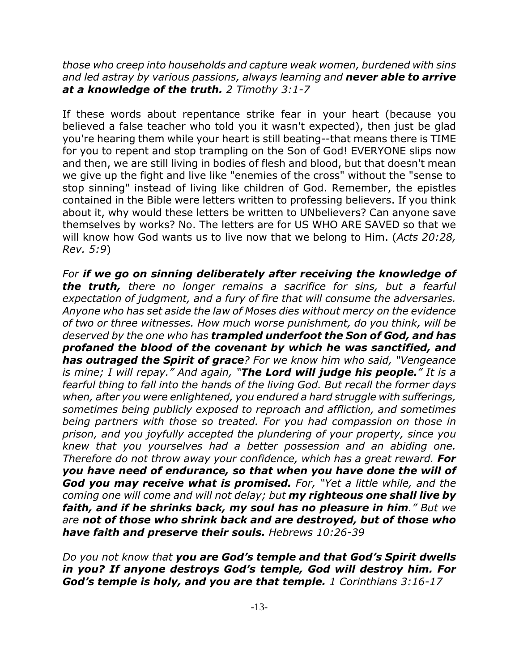*those who creep into households and capture weak women, burdened with sins and led astray by various passions, always learning and never able to arrive at a knowledge of the truth. 2 Timothy 3:1-7*

If these words about repentance strike fear in your heart (because you believed a false teacher who told you it wasn't expected), then just be glad you're hearing them while your heart is still beating--that means there is TIME for you to repent and stop trampling on the Son of God! EVERYONE slips now and then, we are still living in bodies of flesh and blood, but that doesn't mean we give up the fight and live like "enemies of the cross" without the "sense to stop sinning" instead of living like children of God. Remember, the epistles contained in the Bible were letters written to professing believers. If you think about it, why would these letters be written to UNbelievers? Can anyone save themselves by works? No. The letters are for US WHO ARE SAVED so that we will know how God wants us to live now that we belong to Him. (*Acts 20:28, Rev. 5:9*)

*For if we go on sinning deliberately after receiving the knowledge of the truth, there no longer remains a sacrifice for sins, but a fearful expectation of judgment, and a fury of fire that will consume the adversaries. Anyone who has set aside the law of Moses dies without mercy on the evidence of two or three witnesses. How much worse punishment, do you think, will be deserved by the one who has trampled underfoot the Son of God, and has profaned the blood of the covenant by which he was sanctified, and has outraged the Spirit of grace? For we know him who said, "Vengeance is mine; I will repay." And again, "The Lord will judge his people." It is a fearful thing to fall into the hands of the living God. But recall the former days when, after you were enlightened, you endured a hard struggle with sufferings, sometimes being publicly exposed to reproach and affliction, and sometimes being partners with those so treated. For you had compassion on those in prison, and you joyfully accepted the plundering of your property, since you knew that you yourselves had a better possession and an abiding one. Therefore do not throw away your confidence, which has a great reward. For you have need of endurance, so that when you have done the will of God you may receive what is promised. For, "Yet a little while, and the coming one will come and will not delay; but my righteous one shall live by faith, and if he shrinks back, my soul has no pleasure in him." But we are not of those who shrink back and are destroyed, but of those who have faith and preserve their souls. Hebrews 10:26-39*

*Do you not know that you are God's temple and that God's Spirit dwells in you? If anyone destroys God's temple, God will destroy him. For God's temple is holy, and you are that temple. 1 Corinthians 3:16-17*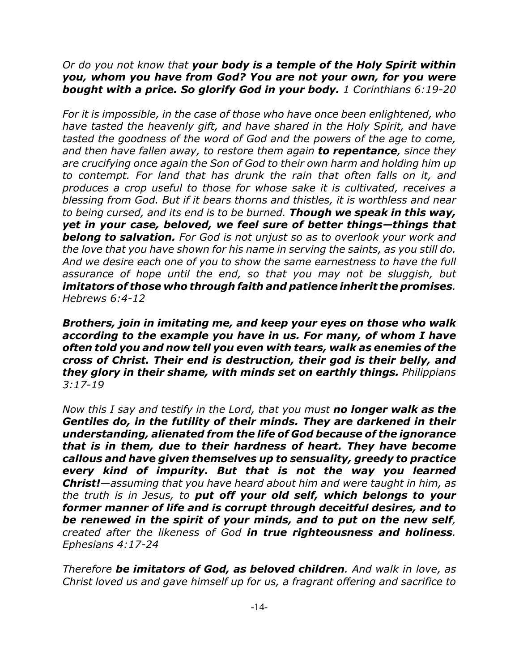## *Or do you not know that your body is a temple of the Holy Spirit within you, whom you have from God? You are not your own, for you were bought with a price. So glorify God in your body. 1 Corinthians 6:19-20*

*For it is impossible, in the case of those who have once been enlightened, who have tasted the heavenly gift, and have shared in the Holy Spirit, and have tasted the goodness of the word of God and the powers of the age to come, and then have fallen away, to restore them again to repentance, since they are crucifying once again the Son of God to their own harm and holding him up to contempt. For land that has drunk the rain that often falls on it, and produces a crop useful to those for whose sake it is cultivated, receives a blessing from God. But if it bears thorns and thistles, it is worthless and near to being cursed, and its end is to be burned. Though we speak in this way, yet in your case, beloved, we feel sure of better things—things that belong to salvation. For God is not unjust so as to overlook your work and the love that you have shown for his name in serving the saints, as you still do. And we desire each one of you to show the same earnestness to have the full assurance of hope until the end, so that you may not be sluggish, but imitators of those who through faith and patience inherit the promises. Hebrews 6:4-12*

*Brothers, join in imitating me, and keep your eyes on those who walk according to the example you have in us. For many, of whom I have often told you and now tell you even with tears, walk as enemies of the cross of Christ. Their end is destruction, their god is their belly, and they glory in their shame, with minds set on earthly things. Philippians 3:17-19*

*Now this I say and testify in the Lord, that you must no longer walk as the Gentiles do, in the futility of their minds. They are darkened in their understanding, alienated from the life of God because of the ignorance that is in them, due to their hardness of heart. They have become callous and have given themselves up to sensuality, greedy to practice every kind of impurity. But that is not the way you learned Christ!—assuming that you have heard about him and were taught in him, as the truth is in Jesus, to put off your old self, which belongs to your former manner of life and is corrupt through deceitful desires, and to be renewed in the spirit of your minds, and to put on the new self, created after the likeness of God in true righteousness and holiness. Ephesians 4:17-24*

*Therefore be imitators of God, as beloved children. And walk in love, as Christ loved us and gave himself up for us, a fragrant offering and sacrifice to*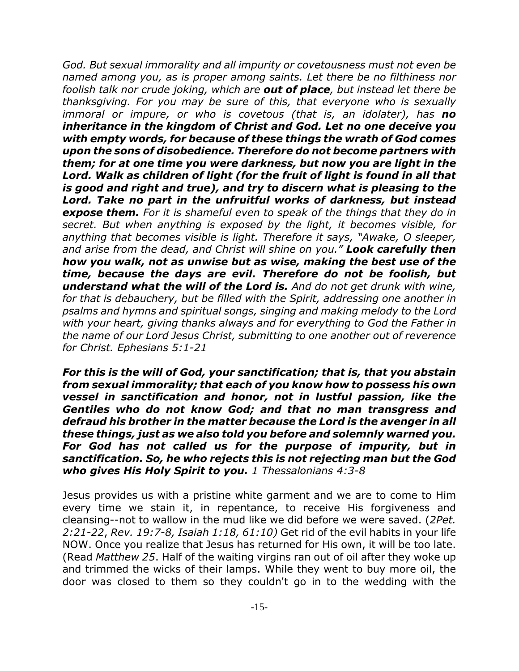*God. But sexual immorality and all impurity or covetousness must not even be named among you, as is proper among saints. Let there be no filthiness nor foolish talk nor crude joking, which are out of place, but instead let there be thanksgiving. For you may be sure of this, that everyone who is sexually immoral or impure, or who is covetous (that is, an idolater), has no inheritance in the kingdom of Christ and God. Let no one deceive you with empty words, for because of these things the wrath of God comes upon the sons of disobedience. Therefore do not become partners with them; for at one time you were darkness, but now you are light in the Lord. Walk as children of light (for the fruit of light is found in all that is good and right and true), and try to discern what is pleasing to the Lord. Take no part in the unfruitful works of darkness, but instead expose them. For it is shameful even to speak of the things that they do in secret. But when anything is exposed by the light, it becomes visible, for anything that becomes visible is light. Therefore it says, "Awake, O sleeper, and arise from the dead, and Christ will shine on you." Look carefully then how you walk, not as unwise but as wise, making the best use of the time, because the days are evil. Therefore do not be foolish, but understand what the will of the Lord is. And do not get drunk with wine, for that is debauchery, but be filled with the Spirit, addressing one another in psalms and hymns and spiritual songs, singing and making melody to the Lord with your heart, giving thanks always and for everything to God the Father in the name of our Lord Jesus Christ, submitting to one another out of reverence for Christ. Ephesians 5:1-21*

*For this is the will of God, your sanctification; that is, that you abstain from sexual immorality; that each of you know how to possess his own vessel in sanctification and honor, not in lustful passion, like the Gentiles who do not know God; and that no man transgress and defraud his brother in the matter because the Lord is the avenger in all these things, just as we also told you before and solemnly warned you. For God has not called us for the purpose of impurity, but in sanctification. So, he who rejects this is not rejecting man but the God who gives His Holy Spirit to you. 1 Thessalonians 4:3-8*

Jesus provides us with a pristine white garment and we are to come to Him every time we stain it, in repentance, to receive His forgiveness and cleansing--not to wallow in the mud like we did before we were saved. (*2Pet. 2:21-22*, *Rev. 19:7-8, Isaiah 1:18, 61:10)* Get rid of the evil habits in your life NOW. Once you realize that Jesus has returned for His own, it will be too late. (Read *Matthew 25*. Half of the waiting virgins ran out of oil after they woke up and trimmed the wicks of their lamps. While they went to buy more oil, the door was closed to them so they couldn't go in to the wedding with the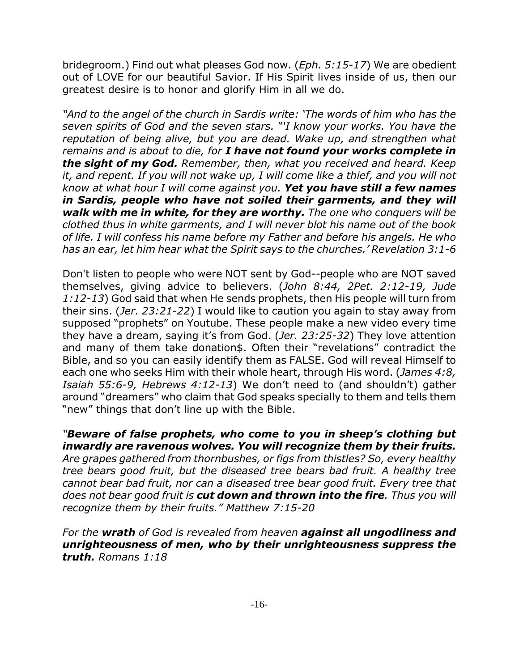bridegroom.) Find out what pleases God now. (*Eph. 5:15-17*) We are obedient out of LOVE for our beautiful Savior. If His Spirit lives inside of us, then our greatest desire is to honor and glorify Him in all we do.

*"And to the angel of the church in Sardis write: 'The words of him who has the seven spirits of God and the seven stars. "'I know your works. You have the reputation of being alive, but you are dead. Wake up, and strengthen what remains and is about to die, for I have not found your works complete in the sight of my God. Remember, then, what you received and heard. Keep it, and repent. If you will not wake up, I will come like a thief, and you will not know at what hour I will come against you. Yet you have still a few names in Sardis, people who have not soiled their garments, and they will walk with me in white, for they are worthy. The one who conquers will be clothed thus in white garments, and I will never blot his name out of the book of life. I will confess his name before my Father and before his angels. He who has an ear, let him hear what the Spirit says to the churches.' Revelation 3:1-6*

Don't listen to people who were NOT sent by God--people who are NOT saved themselves, giving advice to believers. (*John 8:44, 2Pet. 2:12-19, Jude 1:12-13*) God said that when He sends prophets, then His people will turn from their sins. (*Jer. 23:21-22*) I would like to caution you again to stay away from supposed "prophets" on Youtube. These people make a new video every time they have a dream, saying it's from God. (*Jer. 23:25-32*) They love attention and many of them take donation\$. Often their "revelations" contradict the Bible, and so you can easily identify them as FALSE. God will reveal Himself to each one who seeks Him with their whole heart, through His word. (*James 4:8, Isaiah 55:6-9, Hebrews 4:12-13*) We don't need to (and shouldn't) gather around "dreamers" who claim that God speaks specially to them and tells them "new" things that don't line up with the Bible.

*"Beware of false prophets, who come to you in sheep's clothing but inwardly are ravenous wolves. You will recognize them by their fruits. Are grapes gathered from thornbushes, or figs from thistles? So, every healthy tree bears good fruit, but the diseased tree bears bad fruit. A healthy tree cannot bear bad fruit, nor can a diseased tree bear good fruit. Every tree that does not bear good fruit is cut down and thrown into the fire. Thus you will recognize them by their fruits." Matthew 7:15-20*

*For the wrath of God is revealed from heaven against all ungodliness and unrighteousness of men, who by their unrighteousness suppress the truth. Romans 1:18*